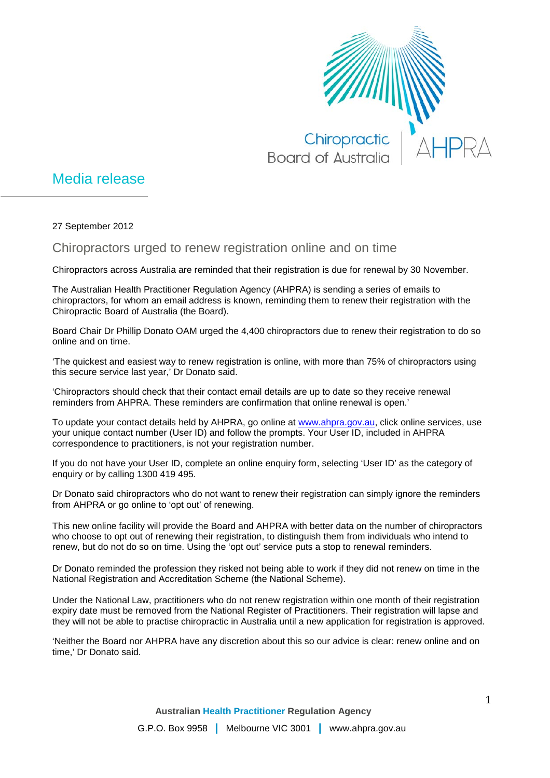

## Media release

27 September 2012

Chiropractors urged to renew registration online and on time

Chiropractors across Australia are reminded that their registration is due for renewal by 30 November.

The Australian Health Practitioner Regulation Agency (AHPRA) is sending a series of emails to chiropractors, for whom an email address is known, reminding them to renew their registration with the Chiropractic Board of Australia (the Board).

Board Chair Dr Phillip Donato OAM urged the 4,400 chiropractors due to renew their registration to do so online and on time.

'The quickest and easiest way to renew registration is online, with more than 75% of chiropractors using this secure service last year,' Dr Donato said.

'Chiropractors should check that their contact email details are up to date so they receive renewal reminders from AHPRA. These reminders are confirmation that online renewal is open.'

To update your contact details held by AHPRA, go online at [www.ahpra.gov.au,](http://www.ahpra.gov.au/) click online services, use your unique contact number (User ID) and follow the prompts. Your User ID, included in AHPRA correspondence to practitioners, is not your registration number.

If you do not have your User ID, complete an online enquiry form, selecting 'User ID' as the category of enquiry or by calling 1300 419 495.

Dr Donato said chiropractors who do not want to renew their registration can simply ignore the reminders from AHPRA or go online to 'opt out' of renewing.

This new online facility will provide the Board and AHPRA with better data on the number of chiropractors who choose to opt out of renewing their registration, to distinguish them from individuals who intend to renew, but do not do so on time. Using the 'opt out' service puts a stop to renewal reminders.

Dr Donato reminded the profession they risked not being able to work if they did not renew on time in the National Registration and Accreditation Scheme (the National Scheme).

Under the National Law, practitioners who do not renew registration within one month of their registration expiry date must be removed from the National Register of Practitioners. Their registration will lapse and they will not be able to practise chiropractic in Australia until a new application for registration is approved.

'Neither the Board nor AHPRA have any discretion about this so our advice is clear: renew online and on time,' Dr Donato said.